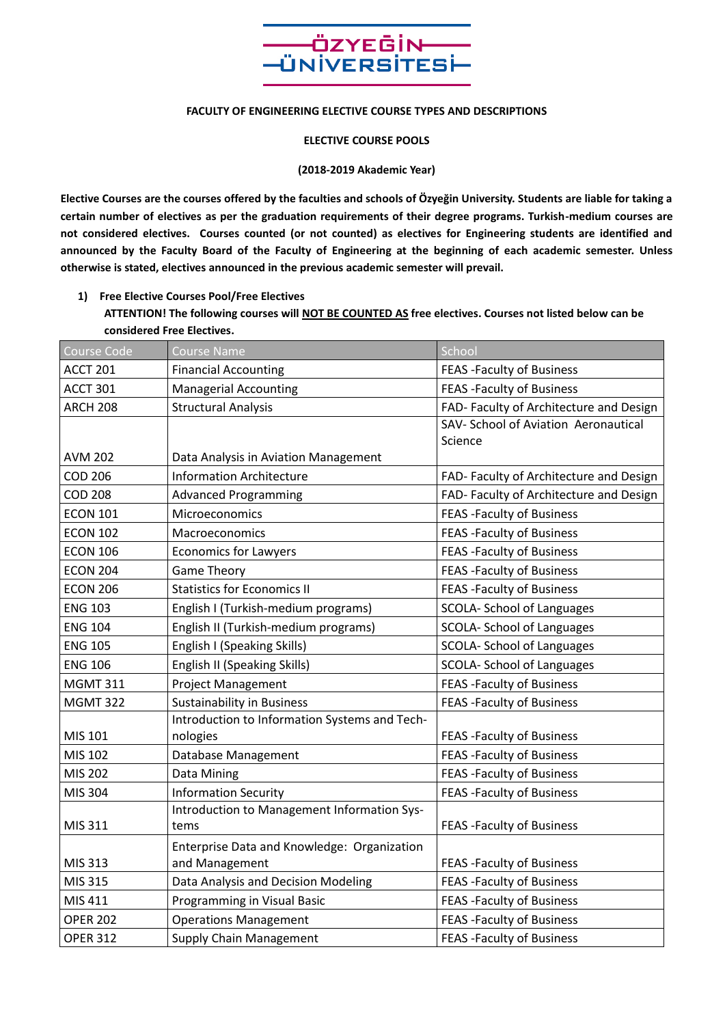

#### **FACULTY OF ENGINEERING ELECTIVE COURSE TYPES AND DESCRIPTIONS**

**ELECTIVE COURSE POOLS**

#### **(2018-2019 Akademic Year)**

**Elective Courses are the courses offered by the faculties and schools of Özyeğin University. Students are liable for taking a certain number of electives as per the graduation requirements of their degree programs. Turkish-medium courses are not considered electives. Courses counted (or not counted) as electives for Engineering students are identified and announced by the Faculty Board of the Faculty of Engineering at the beginning of each academic semester. Unless otherwise is stated, electives announced in the previous academic semester will prevail.**

**1) Free Elective Courses Pool/Free Electives** 

**ATTENTION! The following courses will NOT BE COUNTED AS free electives. Courses not listed below can be considered Free Electives.**

| Course Code     | <b>Course Name</b>                            | School                                  |
|-----------------|-----------------------------------------------|-----------------------------------------|
| ACCT 201        | <b>Financial Accounting</b>                   | FEAS - Faculty of Business              |
| <b>ACCT 301</b> | <b>Managerial Accounting</b>                  | <b>FEAS - Faculty of Business</b>       |
| <b>ARCH 208</b> | <b>Structural Analysis</b>                    | FAD- Faculty of Architecture and Design |
|                 |                                               | SAV- School of Aviation Aeronautical    |
|                 |                                               | Science                                 |
| <b>AVM 202</b>  | Data Analysis in Aviation Management          |                                         |
| COD 206         | <b>Information Architecture</b>               | FAD-Faculty of Architecture and Design  |
| <b>COD 208</b>  | <b>Advanced Programming</b>                   | FAD-Faculty of Architecture and Design  |
| <b>ECON 101</b> | Microeconomics                                | <b>FEAS - Faculty of Business</b>       |
| <b>ECON 102</b> | Macroeconomics                                | <b>FEAS - Faculty of Business</b>       |
| <b>ECON 106</b> | <b>Economics for Lawyers</b>                  | <b>FEAS - Faculty of Business</b>       |
| <b>ECON 204</b> | <b>Game Theory</b>                            | <b>FEAS - Faculty of Business</b>       |
| <b>ECON 206</b> | <b>Statistics for Economics II</b>            | <b>FEAS - Faculty of Business</b>       |
| <b>ENG 103</b>  | English I (Turkish-medium programs)           | <b>SCOLA- School of Languages</b>       |
| <b>ENG 104</b>  | English II (Turkish-medium programs)          | <b>SCOLA- School of Languages</b>       |
| <b>ENG 105</b>  | English I (Speaking Skills)                   | <b>SCOLA- School of Languages</b>       |
| <b>ENG 106</b>  | English II (Speaking Skills)                  | SCOLA- School of Languages              |
| <b>MGMT 311</b> | <b>Project Management</b>                     | <b>FEAS - Faculty of Business</b>       |
| <b>MGMT 322</b> | <b>Sustainability in Business</b>             | <b>FEAS - Faculty of Business</b>       |
|                 | Introduction to Information Systems and Tech- |                                         |
| MIS 101         | nologies                                      | <b>FEAS - Faculty of Business</b>       |
| MIS 102         | Database Management                           | <b>FEAS - Faculty of Business</b>       |
| MIS 202         | Data Mining                                   | <b>FEAS - Faculty of Business</b>       |
| MIS 304         | <b>Information Security</b>                   | <b>FEAS - Faculty of Business</b>       |
|                 | Introduction to Management Information Sys-   |                                         |
| MIS 311         | tems                                          | <b>FEAS - Faculty of Business</b>       |
|                 | Enterprise Data and Knowledge: Organization   |                                         |
| MIS 313         | and Management                                | <b>FEAS - Faculty of Business</b>       |
| MIS 315         | Data Analysis and Decision Modeling           | <b>FEAS - Faculty of Business</b>       |
| MIS 411         | Programming in Visual Basic                   | <b>FEAS - Faculty of Business</b>       |
| <b>OPER 202</b> | <b>Operations Management</b>                  | <b>FEAS - Faculty of Business</b>       |
| <b>OPER 312</b> | <b>Supply Chain Management</b>                | <b>FEAS - Faculty of Business</b>       |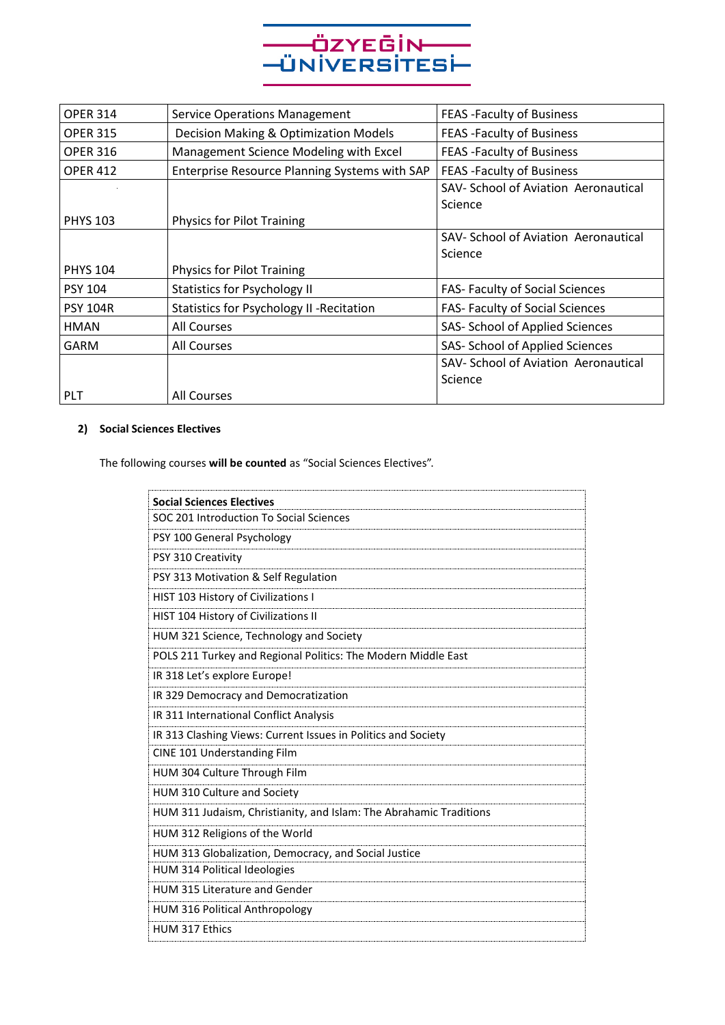

| <b>OPER 314</b> | <b>Service Operations Management</b>             | <b>FEAS - Faculty of Business</b>      |
|-----------------|--------------------------------------------------|----------------------------------------|
| <b>OPER 315</b> | Decision Making & Optimization Models            | FEAS - Faculty of Business             |
| <b>OPER 316</b> | Management Science Modeling with Excel           | FEAS - Faculty of Business             |
| <b>OPER 412</b> | Enterprise Resource Planning Systems with SAP    | FEAS - Faculty of Business             |
|                 |                                                  | SAV- School of Aviation Aeronautical   |
|                 |                                                  | Science                                |
| <b>PHYS 103</b> | <b>Physics for Pilot Training</b>                |                                        |
|                 |                                                  | SAV- School of Aviation Aeronautical   |
|                 |                                                  | Science                                |
| <b>PHYS 104</b> | Physics for Pilot Training                       |                                        |
| <b>PSY 104</b>  | <b>Statistics for Psychology II</b>              | FAS- Faculty of Social Sciences        |
| <b>PSY 104R</b> | <b>Statistics for Psychology II - Recitation</b> | <b>FAS- Faculty of Social Sciences</b> |
| HMAN            | <b>All Courses</b>                               | SAS- School of Applied Sciences        |
| <b>GARM</b>     | All Courses                                      | SAS- School of Applied Sciences        |
|                 |                                                  | SAV- School of Aviation Aeronautical   |
|                 |                                                  | Science                                |
| <b>PLT</b>      | All Courses                                      |                                        |

# **2) Social Sciences Electives**

The following courses **will be counted** as "Social Sciences Electives".

| <b>Social Sciences Electives</b>                                   |
|--------------------------------------------------------------------|
| SOC 201 Introduction To Social Sciences                            |
| PSY 100 General Psychology                                         |
| PSY 310 Creativity                                                 |
| PSY 313 Motivation & Self Regulation                               |
| HIST 103 History of Civilizations I                                |
| HIST 104 History of Civilizations II                               |
| HUM 321 Science, Technology and Society                            |
| POLS 211 Turkey and Regional Politics: The Modern Middle East      |
| IR 318 Let's explore Europe!                                       |
| IR 329 Democracy and Democratization                               |
| IR 311 International Conflict Analysis                             |
| IR 313 Clashing Views: Current Issues in Politics and Society      |
| CINE 101 Understanding Film                                        |
| HUM 304 Culture Through Film                                       |
| HUM 310 Culture and Society                                        |
| HUM 311 Judaism, Christianity, and Islam: The Abrahamic Traditions |
| HUM 312 Religions of the World                                     |
| HUM 313 Globalization, Democracy, and Social Justice               |
| HUM 314 Political Ideologies                                       |
| HUM 315 Literature and Gender                                      |
| <b>HUM 316 Political Anthropology</b>                              |
| HUM 317 Ethics                                                     |
|                                                                    |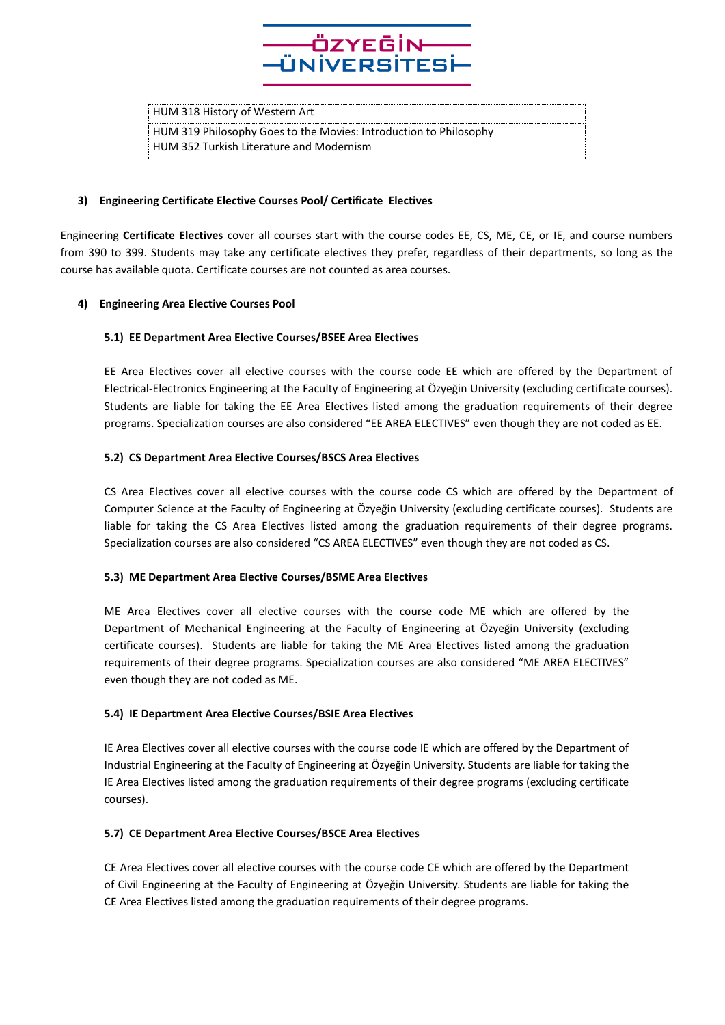

HUM 318 History of Western Art

HUM 319 Philosophy Goes to the Movies: Introduction to Philosophy HUM 352 Turkish Literature and Modernism

# **3) Engineering Certificate Elective Courses Pool/ Certificate Electives**

Engineering **Certificate Electives** cover all courses start with the course codes EE, CS, ME, CE, or IE, and course numbers from 390 to 399. Students may take any certificate electives they prefer, regardless of their departments, so long as the course has available quota. Certificate courses are not counted as area courses.

# **4) Engineering Area Elective Courses Pool**

# **5.1) EE Department Area Elective Courses/BSEE Area Electives**

EE Area Electives cover all elective courses with the course code EE which are offered by the Department of Electrical-Electronics Engineering at the Faculty of Engineering at Özyeğin University (excluding certificate courses). Students are liable for taking the EE Area Electives listed among the graduation requirements of their degree programs. Specialization courses are also considered "EE AREA ELECTIVES" even though they are not coded as EE.

# **5.2) CS Department Area Elective Courses/BSCS Area Electives**

CS Area Electives cover all elective courses with the course code CS which are offered by the Department of Computer Science at the Faculty of Engineering at Özyeğin University (excluding certificate courses). Students are liable for taking the CS Area Electives listed among the graduation requirements of their degree programs. Specialization courses are also considered "CS AREA ELECTIVES" even though they are not coded as CS.

#### **5.3) ME Department Area Elective Courses/BSME Area Electives**

ME Area Electives cover all elective courses with the course code ME which are offered by the Department of Mechanical Engineering at the Faculty of Engineering at Özyeğin University (excluding certificate courses). Students are liable for taking the ME Area Electives listed among the graduation requirements of their degree programs. Specialization courses are also considered "ME AREA ELECTIVES" even though they are not coded as ME.

#### **5.4) IE Department Area Elective Courses/BSIE Area Electives**

IE Area Electives cover all elective courses with the course code IE which are offered by the Department of Industrial Engineering at the Faculty of Engineering at Özyeğin University. Students are liable for taking the IE Area Electives listed among the graduation requirements of their degree programs (excluding certificate courses).

#### **5.7) CE Department Area Elective Courses/BSCE Area Electives**

CE Area Electives cover all elective courses with the course code CE which are offered by the Department of Civil Engineering at the Faculty of Engineering at Özyeğin University. Students are liable for taking the CE Area Electives listed among the graduation requirements of their degree programs.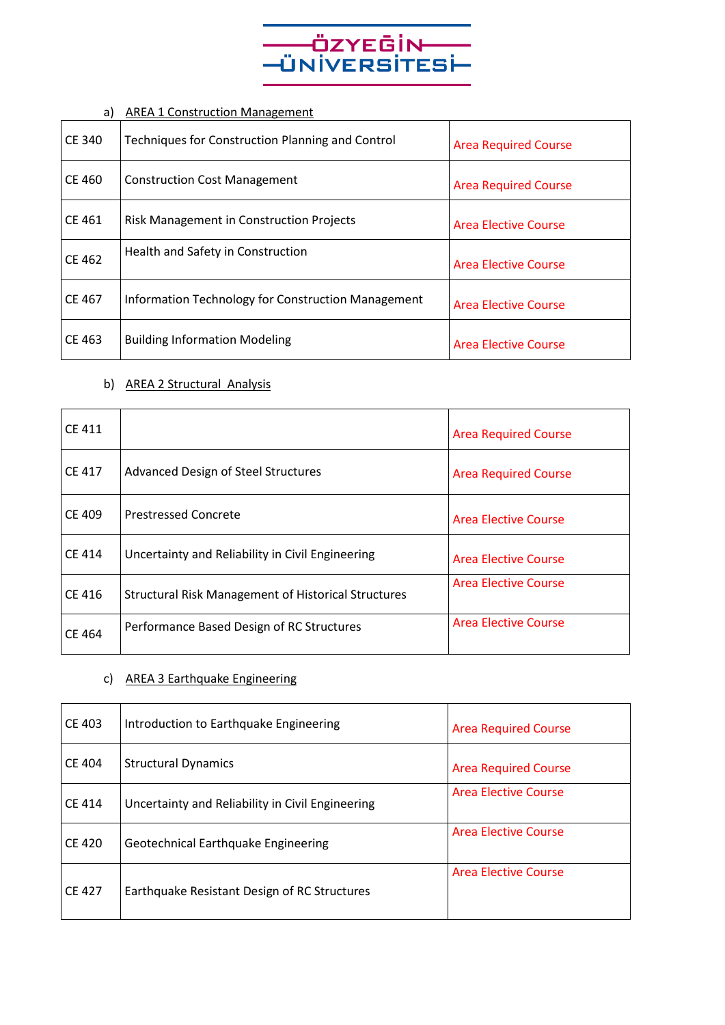

# a) AREA 1 Construction Management

| CE 340        | Techniques for Construction Planning and Control   | <b>Area Required Course</b> |
|---------------|----------------------------------------------------|-----------------------------|
| CE 460        | <b>Construction Cost Management</b>                | <b>Area Required Course</b> |
| CE 461        | <b>Risk Management in Construction Projects</b>    | <b>Area Elective Course</b> |
| <b>CE 462</b> | Health and Safety in Construction                  | <b>Area Elective Course</b> |
| CE 467        | Information Technology for Construction Management | <b>Area Elective Course</b> |
| CE 463        | <b>Building Information Modeling</b>               | Area Elective Course        |

# b) AREA 2 Structural Analysis

| <b>CE 411</b> |                                                            | <b>Area Required Course</b> |
|---------------|------------------------------------------------------------|-----------------------------|
| <b>CE 417</b> | <b>Advanced Design of Steel Structures</b>                 | <b>Area Required Course</b> |
| CE 409        | <b>Prestressed Concrete</b>                                | Area Elective Course        |
| <b>CE 414</b> | Uncertainty and Reliability in Civil Engineering           | Area Elective Course        |
| <b>CE 416</b> | <b>Structural Risk Management of Historical Structures</b> | <b>Area Elective Course</b> |
| CE 464        | Performance Based Design of RC Structures                  | <b>Area Elective Course</b> |

# c) AREA 3 Earthquake Engineering

| <b>CE 403</b> | Introduction to Earthquake Engineering           | <b>Area Required Course</b> |
|---------------|--------------------------------------------------|-----------------------------|
| <b>CE 404</b> | <b>Structural Dynamics</b>                       | <b>Area Required Course</b> |
| <b>CE 414</b> | Uncertainty and Reliability in Civil Engineering | <b>Area Elective Course</b> |
| <b>CE 420</b> | Geotechnical Earthquake Engineering              | <b>Area Elective Course</b> |
| <b>CE 427</b> | Earthquake Resistant Design of RC Structures     | <b>Area Elective Course</b> |